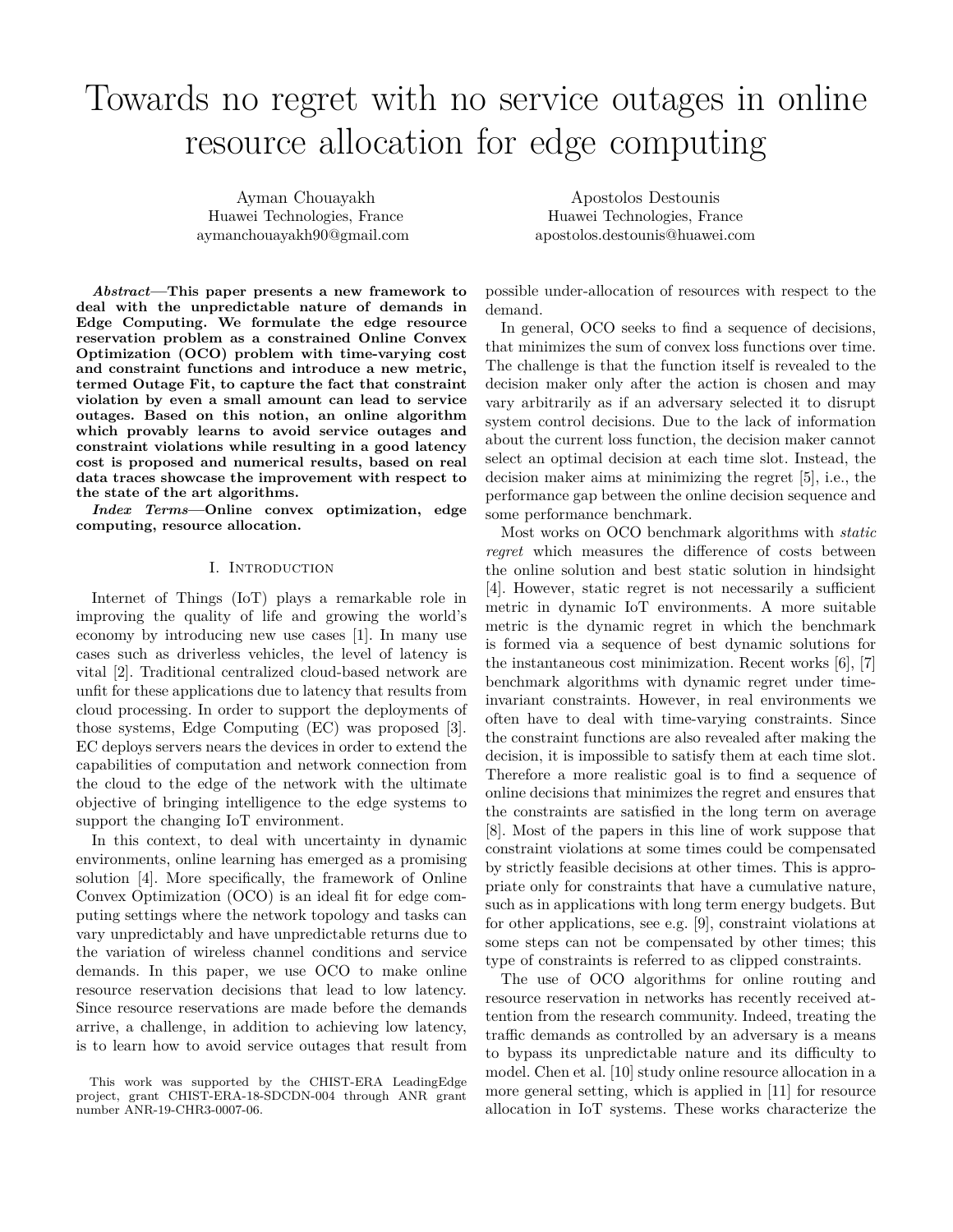# Towards no regret with no service outages in online resource allocation for edge computing

Ayman Chouayakh Huawei Technologies, France aymanchouayakh90@gmail.com

*Abstract***—This paper presents a new framework to deal with the unpredictable nature of demands in Edge Computing. We formulate the edge resource reservation problem as a constrained Online Convex Optimization (OCO) problem with time-varying cost and constraint functions and introduce a new metric, termed Outage Fit, to capture the fact that constraint violation by even a small amount can lead to service outages. Based on this notion, an online algorithm which provably learns to avoid service outages and constraint violations while resulting in a good latency cost is proposed and numerical results, based on real data traces showcase the improvement with respect to the state of the art algorithms.**

*Index Terms***—Online convex optimization, edge computing, resource allocation.**

#### I. Introduction

Internet of Things (IoT) plays a remarkable role in improving the quality of life and growing the world's economy by introducing new use cases [1]. In many use cases such as driverless vehicles, the level of latency is vital [2]. Traditional centralized cloud-based network are unfit for these applications due to latency that results from cloud processing. In order to support the deployments of those systems, Edge Computing (EC) was proposed [3]. EC deploys servers nears the devices in order to extend the capabilities of computation and network connection from the cloud to the edge of the network with the ultimate objective of bringing intelligence to the edge systems to support the changing IoT environment.

In this context, to deal with uncertainty in dynamic environments, online learning has emerged as a promising solution [4]. More specifically, the framework of Online Convex Optimization (OCO) is an ideal fit for edge computing settings where the network topology and tasks can vary unpredictably and have unpredictable returns due to the variation of wireless channel conditions and service demands. In this paper, we use OCO to make online resource reservation decisions that lead to low latency. Since resource reservations are made before the demands arrive, a challenge, in addition to achieving low latency, is to learn how to avoid service outages that result from

Apostolos Destounis Huawei Technologies, France apostolos.destounis@huawei.com

possible under-allocation of resources with respect to the demand.

In general, OCO seeks to find a sequence of decisions, that minimizes the sum of convex loss functions over time. The challenge is that the function itself is revealed to the decision maker only after the action is chosen and may vary arbitrarily as if an adversary selected it to disrupt system control decisions. Due to the lack of information about the current loss function, the decision maker cannot select an optimal decision at each time slot. Instead, the decision maker aims at minimizing the regret [5], i.e., the performance gap between the online decision sequence and some performance benchmark.

Most works on OCO benchmark algorithms with *static regret* which measures the difference of costs between the online solution and best static solution in hindsight [4]. However, static regret is not necessarily a sufficient metric in dynamic IoT environments. A more suitable metric is the dynamic regret in which the benchmark is formed via a sequence of best dynamic solutions for the instantaneous cost minimization. Recent works [6], [7] benchmark algorithms with dynamic regret under timeinvariant constraints. However, in real environments we often have to deal with time-varying constraints. Since the constraint functions are also revealed after making the decision, it is impossible to satisfy them at each time slot. Therefore a more realistic goal is to find a sequence of online decisions that minimizes the regret and ensures that the constraints are satisfied in the long term on average [8]. Most of the papers in this line of work suppose that constraint violations at some times could be compensated by strictly feasible decisions at other times. This is appropriate only for constraints that have a cumulative nature, such as in applications with long term energy budgets. But for other applications, see e.g. [9], constraint violations at some steps can not be compensated by other times; this type of constraints is referred to as clipped constraints.

The use of OCO algorithms for online routing and resource reservation in networks has recently received attention from the research community. Indeed, treating the traffic demands as controlled by an adversary is a means to bypass its unpredictable nature and its difficulty to model. Chen et al. [10] study online resource allocation in a more general setting, which is applied in [11] for resource allocation in IoT systems. These works characterize the

This work was supported by the CHIST-ERA LeadingEdge project, grant CHIST-ERA-18-SDCDN-004 through ANR grant number ANR-19-CHR3-0007-06.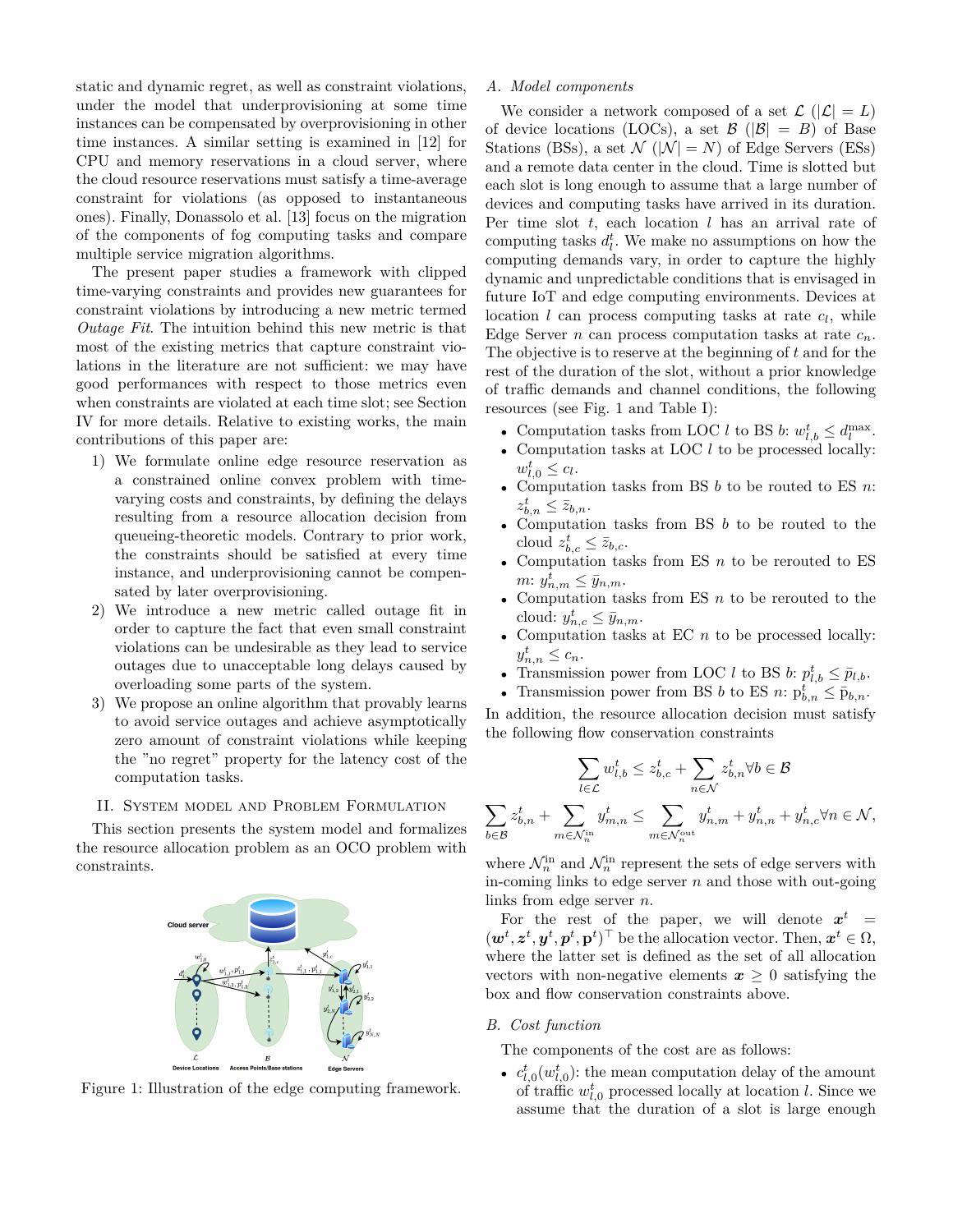static and dynamic regret, as well as constraint violations, under the model that underprovisioning at some time instances can be compensated by overprovisioning in other time instances. A similar setting is examined in [12] for CPU and memory reservations in a cloud server, where the cloud resource reservations must satisfy a time-average constraint for violations (as opposed to instantaneous ones). Finally, Donassolo et al. [13] focus on the migration of the components of fog computing tasks and compare multiple service migration algorithms.

The present paper studies a framework with clipped time-varying constraints and provides new guarantees for constraint violations by introducing a new metric termed *Outage Fit*. The intuition behind this new metric is that most of the existing metrics that capture constraint violations in the literature are not sufficient: we may have good performances with respect to those metrics even when constraints are violated at each time slot; see Section IV for more details. Relative to existing works, the main contributions of this paper are:

- 1) We formulate online edge resource reservation as a constrained online convex problem with timevarying costs and constraints, by defining the delays resulting from a resource allocation decision from queueing-theoretic models. Contrary to prior work, the constraints should be satisfied at every time instance, and underprovisioning cannot be compensated by later overprovisioning.
- 2) We introduce a new metric called outage fit in order to capture the fact that even small constraint violations can be undesirable as they lead to service outages due to unacceptable long delays caused by overloading some parts of the system.
- 3) We propose an online algorithm that provably learns to avoid service outages and achieve asymptotically zero amount of constraint violations while keeping the "no regret" property for the latency cost of the computation tasks.

# II. System model and Problem Formulation

This section presents the system model and formalizes the resource allocation problem as an OCO problem with constraints.



Figure 1: Illustration of the edge computing framework.

# *A. Model components*

We consider a network composed of a set  $\mathcal{L}(|\mathcal{L}| = L)$ of device locations (LOCs), a set  $\mathcal{B}$  ( $|\mathcal{B}| = B$ ) of Base Stations (BSs), a set  $\mathcal{N}$  ( $|\mathcal{N}| = N$ ) of Edge Servers (ESs) and a remote data center in the cloud. Time is slotted but each slot is long enough to assume that a large number of devices and computing tasks have arrived in its duration. Per time slot *t*, each location *l* has an arrival rate of computing tasks  $d_l^t$ . We make no assumptions on how the computing demands vary, in order to capture the highly dynamic and unpredictable conditions that is envisaged in future IoT and edge computing environments. Devices at location *l* can process computing tasks at rate *c<sup>l</sup>* , while Edge Server *n* can process computation tasks at rate  $c_n$ . The objective is to reserve at the beginning of *t* and for the rest of the duration of the slot, without a prior knowledge of traffic demands and channel conditions, the following resources (see Fig. 1 and Table I):

- Computation tasks from LOC *l* to BS *b*:  $w_{l,b}^t \leq d_l^{\max}$ .
- Computation tasks at LOC *l* to be processed locally:  $w_{l,0}^t \leq c_l$ .
- Computation tasks from BS *b* to be routed to ES *n*:  $z_{b,n}^t \leq \bar{z}_{b,n}.$
- Computation tasks from BS *b* to be routed to the cloud  $z_{b,c}^t \le \bar{z}_{b,c}$ .
- Computation tasks from ES *n* to be rerouted to ES  $m: y_{n,m}^t \leq \bar{y}_{n,m}.$
- Computation tasks from ES *n* to be rerouted to the cloud:  $y_{n,c}^t \leq \bar{y}_{n,m}$ .
- Computation tasks at EC *n* to be processed locally:  $y_{n,n}^t \leq c_n$ .
- Transmission power from LOC *l* to BS *b*:  $p_{l,b}^t \le \bar{p}_{l,b}$ .
- Transmission power from BS *b* to ES *n*:  $p_{b,n}^t \le \bar{p}_{b,n}$ .

In addition, the resource allocation decision must satisfy the following flow conservation constraints

$$
\sum_{l \in \mathcal{L}} w_{l,b}^t \le z_{b,c}^t + \sum_{n \in \mathcal{N}} z_{b,n}^t \forall b \in \mathcal{B}
$$

$$
\sum_{b \in \mathcal{B}} z_{b,n}^t + \sum_{m \in \mathcal{N}_n^{\text{in}}} y_{m,n}^t \le \sum_{m \in \mathcal{N}_n^{\text{out}}} y_{n,m}^t + y_{n,n}^t + y_{n,c}^t \forall n \in \mathcal{N},
$$

where  $\mathcal{N}_n^{\text{in}}$  and  $\mathcal{N}_n^{\text{in}}$  represent the sets of edge servers with in-coming links to edge server *n* and those with out-going links from edge server *n*.

For the rest of the paper, we will denote  $x^t =$  $(\mathbf{w}^t, \mathbf{z}^t, \mathbf{y}^t, \mathbf{p}^t, \mathbf{p}^t)$ <sup>T</sup> be the allocation vector. Then,  $\mathbf{x}^t \in \Omega$ , where the latter set is defined as the set of all allocation vectors with non-negative elements  $x \geq 0$  satisfying the box and flow conservation constraints above.

#### *B. Cost function*

X

The components of the cost are as follows:

•  $c_{l,0}^t(w_{l,0}^t)$ : the mean computation delay of the amount of traffic  $w_{l,0}^t$  processed locally at location *l*. Since we assume that the duration of a slot is large enough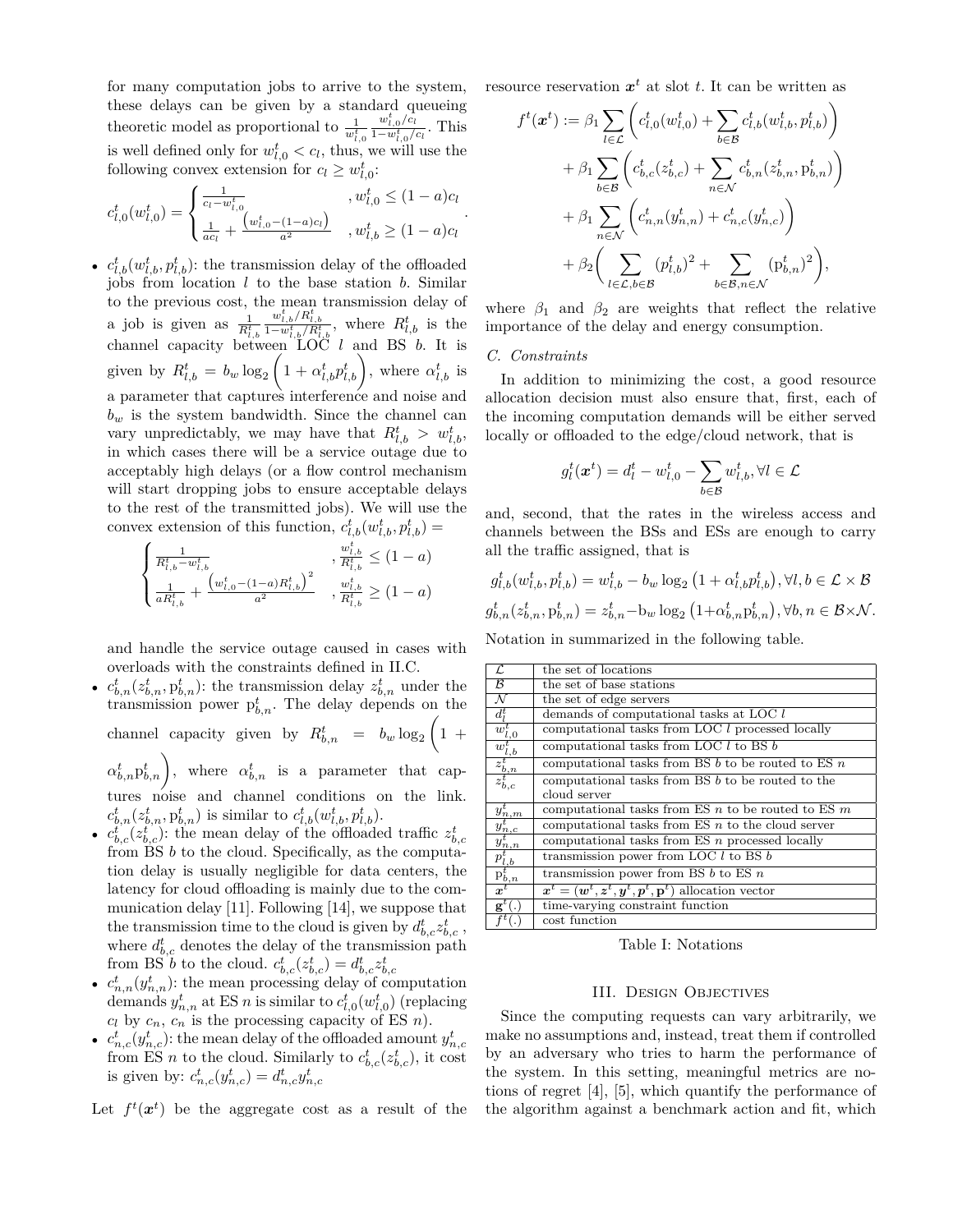for many computation jobs to arrive to the system, these delays can be given by a standard queueing theoretic model as proportional to  $\frac{1}{w_{l,0}^t}$  $w_{l,0}^t/c_l$  $\frac{w_{l,0}/c_l}{1-w_{l,0}^t/c_l}$ . This is well defined only for  $w_{l,0}^t < c_l$ , thus, we will use the following convex extension for  $c_l \geq w_{l,0}^t$ :

$$
c_{l,0}^t(w_{l,0}^t) = \begin{cases} \frac{1}{c_l - w_{l,0}^t} & , w_{l,0}^t \le (1 - a)c_l\\ \frac{1}{ac_l} + \frac{(w_{l,0}^t - (1 - a)c_l)}{a^2} & , w_{l,b}^t \ge (1 - a)c_l \end{cases}
$$

•  $c_{l,b}^t(w_{l,b}^t, p_{l,b}^t)$ : the transmission delay of the offloaded jobs from location *l* to the base station *b*. Similar to the previous cost, the mean transmission delay of a job is given as  $\frac{1}{R^t_{l,b}}$  $\frac{w_{l,b}^t/R_{l,b}^t}{1-w_{l,b}^t/R_{l,b}^t}$ , where  $R_{l,b}^t$  is the channel capacity between LOC *l* and BS *b*. It is given by  $R_{l,b}^t = b_w \log_2 \left(1 + \alpha_{l,b}^t p_{l,b}^t\right)$ , where  $\alpha_{l,b}^t$  is a parameter that captures interference and noise and  $b_w$  is the system bandwidth. Since the channel can vary unpredictably, we may have that  $R^t_{l,b} > w^t_{l,b}$ , in which cases there will be a service outage due to acceptably high delays (or a flow control mechanism will start dropping jobs to ensure acceptable delays to the rest of the transmitted jobs). We will use the convex extension of this function,  $c_{l,b}^t(w_{l,b}^t, p_{l,b}^t)$  =

$$
\begin{cases} \frac{1}{R_{l,b}^{t} - w_{l,b}^{t}} & , \frac{w_{l,b}^{t}}{R_{l,b}^{t}} \leq (1-a) \\ \frac{1}{aR_{l,b}^{t}} + \frac{\left(w_{l,0}^{t} - (1-a)R_{l,b}^{t}\right)^{2}}{a^{2}} & , \frac{w_{l,b}^{t}}{R_{l,b}^{t}} \geq (1-a) \end{cases}
$$

and handle the service outage caused in cases with overloads with the constraints defined in II.C.

•  $c_{b,n}^t(z_{b,n}^t, p_{b,n}^t)$ : the transmission delay  $z_{b,n}^t$  under the transmission power  $p_{b,n}^t$ . The delay depends on the channel capacity given by  $R^t_{b,n} = b_w \log_2 \left(1 + \frac{1}{2}\right)$  $\alpha_{b,n}^t p_{b,n}^t$ , where  $\alpha_{b,n}^t$  is a parameter that captures noise and channel conditions on the link.

 $c_{b,n}^t(z_{b,n}^t, p_{b,n}^t)$  is similar to  $c_{l,b}^t(w_{l,b}^t, p_{l,b}^t)$ . •  $c_{b,c}^t(z_{b,c}^t)$ : the mean delay of the offloaded traffic  $z_{b,c}^t$ 

- from BS *b* to the cloud. Specifically, as the computation delay is usually negligible for data centers, the latency for cloud offloading is mainly due to the communication delay [11]. Following [14], we suppose that the transmission time to the cloud is given by  $d_{b,c}^t z_{b,c}^t$ , where  $d_{b,c}^t$  denotes the delay of the transmission path from BS *b* to the cloud.  $c_{b,c}^t(z_{b,c}^t) = d_{b,c}^t z_{b,c}^t$
- $c_{n,n}^t(y_{n,n}^t)$ : the mean processing delay of computation demands  $y_{n,n}^t$  at ES *n* is similar to  $c_{l,0}^t(w_{l,0}^t)$  (replacing  $c_l$  by  $c_n$ ,  $c_n$  is the processing capacity of ES *n*).
- $c_{n,c}^t(y_{n,c}^t)$ : the mean delay of the offloaded amount  $y_{n,c}^t$ from ES *n* to the cloud. Similarly to  $c_{b,c}^t(z_{b,c}^t)$ , it cost is given by:  $c_{n,c}^t(y_{n,c}^t) = d_{n,c}^t y_{n,c}^t$

Let  $f^t(x^t)$  be the aggregate cost as a result of the

resource reservation  $x^t$  at slot *t*. It can be written as

$$
f^{t}(\boldsymbol{x}^{t}) := \beta_{1} \sum_{l \in \mathcal{L}} \left( c_{l,0}^{t}(w_{l,0}^{t}) + \sum_{b \in \mathcal{B}} c_{l,b}^{t}(w_{l,b}^{t}, p_{l,b}^{t}) \right) + \beta_{1} \sum_{b \in \mathcal{B}} \left( c_{b,c}^{t}(z_{b,c}^{t}) + \sum_{n \in \mathcal{N}} c_{b,n}^{t}(z_{b,n}, p_{b,n}^{t}) \right) + \beta_{1} \sum_{n \in \mathcal{N}} \left( c_{n,n}^{t}(y_{n,n}^{t}) + c_{n,c}^{t}(y_{n,c}^{t}) \right) + \beta_{2} \left( \sum_{l \in \mathcal{L}, b \in \mathcal{B}} (p_{l,b}^{t})^{2} + \sum_{b \in \mathcal{B}, n \in \mathcal{N}} (p_{b,n}^{t})^{2} \right),
$$

where  $\beta_1$  and  $\beta_2$  are weights that reflect the relative importance of the delay and energy consumption.

# *C. Constraints*

*.*

In addition to minimizing the cost, a good resource allocation decision must also ensure that, first, each of the incoming computation demands will be either served locally or offloaded to the edge/cloud network, that is

$$
g_l^t(\boldsymbol{x}^t) = d_l^t - w_{l,0}^t - \sum_{b \in \mathcal{B}} w_{l,b}^t, \forall l \in \mathcal{L}
$$

and, second, that the rates in the wireless access and channels between the BSs and ESs are enough to carry all the traffic assigned, that is

$$
g_{l,b}^t(w_{l,b}^t, p_{l,b}^t) = w_{l,b}^t - b_w \log_2 \left( 1 + \alpha_{l,b}^t p_{l,b}^t \right), \forall l, b \in \mathcal{L} \times \mathcal{B}
$$
  

$$
g_{b,n}^t(z_{b,n}^t, p_{b,n}^t) = z_{b,n}^t - b_w \log_2 \left( 1 + \alpha_{b,n}^t p_{b,n}^t \right), \forall b, n \in \mathcal{B} \times \mathcal{N}.
$$

Notation in summarized in the following table.

| L                                                                                                        | the set of locations                                                                                      |
|----------------------------------------------------------------------------------------------------------|-----------------------------------------------------------------------------------------------------------|
| B                                                                                                        | the set of base stations                                                                                  |
| N                                                                                                        | the set of edge servers                                                                                   |
| $d_i^t$                                                                                                  | demands of computational tasks at LOC l                                                                   |
| $\frac{\dot{w_{l,0}^{t}}}{w_{l,b}^{t}}$                                                                  | computational tasks from LOC l processed locally                                                          |
|                                                                                                          | computational tasks from LOC $l$ to BS $b$                                                                |
| $\frac{z_{b,n}^t}{z_{b,c}^t}$                                                                            | computational tasks from BS $b$ to be routed to ES $n$                                                    |
|                                                                                                          | computational tasks from BS b to be routed to the                                                         |
|                                                                                                          | cloud server                                                                                              |
| $y_{n,m}^t$                                                                                              | computational tasks from ES $n$ to be routed to ES $m$                                                    |
|                                                                                                          | computational tasks from ES $n$ to the cloud server                                                       |
|                                                                                                          | computational tasks from ES $n$ processed locally                                                         |
| $\frac{\overline{y}_{n,c}^t}{y_{n,n}^t} \ \frac{\overline{y}_{n,n}^t}{p_{l,b}^t} \ \overline{p}_{b,n}^t$ | transmission power from LOC $l$ to BS $b$                                                                 |
|                                                                                                          | transmission power from BS $b$ to ES $n$                                                                  |
|                                                                                                          | $\mathbf{x}^t = (\mathbf{w}^t, \mathbf{z}^t, \mathbf{y}^t, \mathbf{p}^t, \mathbf{p}^t)$ allocation vector |
| $g^t$ (.                                                                                                 | time-varying constraint function                                                                          |
|                                                                                                          | cost function                                                                                             |

Table I: Notations

#### III. Design Objectives

Since the computing requests can vary arbitrarily, we make no assumptions and, instead, treat them if controlled by an adversary who tries to harm the performance of the system. In this setting, meaningful metrics are notions of regret [4], [5], which quantify the performance of the algorithm against a benchmark action and fit, which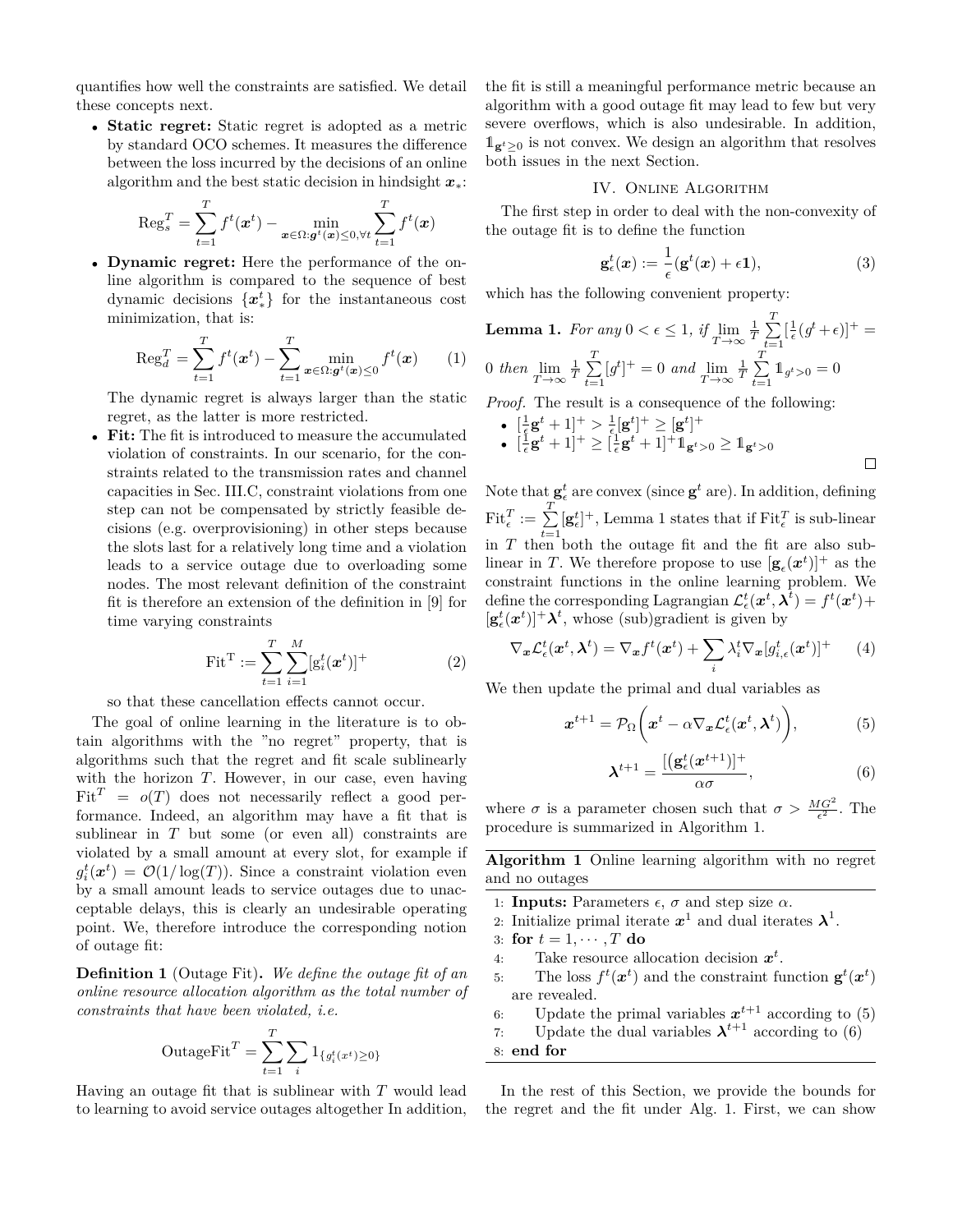quantifies how well the constraints are satisfied. We detail these concepts next.

• **Static regret:** Static regret is adopted as a metric by standard OCO schemes. It measures the difference between the loss incurred by the decisions of an online algorithm and the best static decision in hindsight *x*∗:

$$
\operatorname{Reg}_{s}^{T} = \sum_{t=1}^{T} f^{t}(\boldsymbol{x}^{t}) - \min_{\boldsymbol{x} \in \Omega : \boldsymbol{g}^{t}(\boldsymbol{x}) \leq 0, \forall t} \sum_{t=1}^{T} f^{t}(\boldsymbol{x})
$$

• **Dynamic regret:** Here the performance of the online algorithm is compared to the sequence of best dynamic decisions {*x t* <sup>∗</sup>} for the instantaneous cost minimization, that is:

$$
\operatorname{Reg}_{d}^{T} = \sum_{t=1}^{T} f^{t}(\boldsymbol{x}^{t}) - \sum_{t=1}^{T} \min_{\boldsymbol{x} \in \Omega : \boldsymbol{g}^{t}(\boldsymbol{x}) \leq 0} f^{t}(\boldsymbol{x}) \qquad (1)
$$

The dynamic regret is always larger than the static regret, as the latter is more restricted.

• **Fit:** The fit is introduced to measure the accumulated violation of constraints. In our scenario, for the constraints related to the transmission rates and channel capacities in Sec. III.C, constraint violations from one step can not be compensated by strictly feasible decisions (e.g. overprovisioning) in other steps because the slots last for a relatively long time and a violation leads to a service outage due to overloading some nodes. The most relevant definition of the constraint fit is therefore an extension of the definition in [9] for time varying constraints

$$
\text{Fit}^{\text{T}} := \sum_{t=1}^{T} \sum_{i=1}^{M} [g_i^t(\boldsymbol{x}^t)]^+ \tag{2}
$$

so that these cancellation effects cannot occur.

The goal of online learning in the literature is to obtain algorithms with the "no regret" property, that is algorithms such that the regret and fit scale sublinearly with the horizon *T*. However, in our case, even having  $Fit<sup>T</sup> = o(T)$  does not necessarily reflect a good performance. Indeed, an algorithm may have a fit that is sublinear in *T* but some (or even all) constraints are violated by a small amount at every slot, for example if  $g_i^t(\boldsymbol{x}^t) = \mathcal{O}(1/\log(T))$ . Since a constraint violation even by a small amount leads to service outages due to unacceptable delays, this is clearly an undesirable operating point. We, therefore introduce the corresponding notion of outage fit:

**Definition 1** (Outage Fit)**.** *We define the outage fit of an online resource allocation algorithm as the total number of constraints that have been violated, i.e.*

$$
\text{OutageFit}^T = \sum_{t=1}^T \sum_i \mathbb{1}_{\{g_i^t(x^t) \ge 0\}}
$$

Having an outage fit that is sublinear with *T* would lead to learning to avoid service outages altogether In addition, the fit is still a meaningful performance metric because an algorithm with a good outage fit may lead to few but very severe overflows, which is also undesirable. In addition,  $\mathbb{1}_{g^t \geq 0}$  is not convex. We design an algorithm that resolves both issues in the next Section.

# IV. Online Algorithm

The first step in order to deal with the non-convexity of the outage fit is to define the function

$$
\mathbf{g}_{\epsilon}^{t}(\boldsymbol{x}) := \frac{1}{\epsilon}(\mathbf{g}^{t}(\boldsymbol{x}) + \epsilon \mathbf{1}), \tag{3}
$$

which has the following convenient property:

**Lemma 1.** For any 
$$
0 < \epsilon \le 1
$$
, if  $\lim_{T \to \infty} \frac{1}{T} \sum_{t=1}^{T} [\frac{1}{\epsilon} (g^t + \epsilon)]^+$  = 0 then  $\lim_{T \to \infty} \frac{1}{T} \sum_{t=1}^{T} [g^t]^+ = 0$  and  $\lim_{T \to \infty} \frac{1}{T} \sum_{t=1}^{T} 1_{g^t > 0} = 0$ 

*Proof.* The result is a consequence of the following:

 $\bullet \ \ [\frac{1}{\epsilon} \mathbf{g}^t + 1]^+ > \frac{1}{\epsilon} [\mathbf{g}^t]^+ \geq [\mathbf{g}^t]^+$  $\bullet$   $\left[\frac{1}{\epsilon}\mathbf{g}^{t} + 1\right]^{+} \geq \left[\frac{1}{\epsilon}\mathbf{g}^{t} + 1\right]^{+} \mathbf{1}_{\mathbf{g}^{t} > 0} \geq \mathbf{1}_{\mathbf{g}^{t} > 0}$  $\Box$ 

Note that  $\mathbf{g}_{\epsilon}^{t}$  are convex (since  $\mathbf{g}^{t}$  are). In addition, defining  $\text{Fit}_{\epsilon}^T := \sum_{i=1}^{T} [\mathbf{g}_{\epsilon}^t]^+, \text{ Lemma 1 states that if } \text{Fit}_{\epsilon}^T \text{ is sub-linear}$ in *T* then both the outage fit and the fit are also sublinear in *T*. We therefore propose to use  $[\mathbf{g}_{\epsilon}(\boldsymbol{x}^{t})]^{+}$  as the constraint functions in the online learning problem. We define the corresponding Lagrangian  $\mathcal{L}_{\epsilon}^{t}(\boldsymbol{x}^{t}, \boldsymbol{\lambda}^{t}) = f^{t}(\boldsymbol{x}^{t}) +$  $[\mathbf{g}_{\epsilon}^{t}(\boldsymbol{x}^{t})]^{+} \boldsymbol{\lambda}^{t}$ , whose (sub)gradient is given by

$$
\nabla_{\boldsymbol{x}} \mathcal{L}_{\epsilon}^{t}(\boldsymbol{x}^{t}, \boldsymbol{\lambda}^{t}) = \nabla_{\boldsymbol{x}} f^{t}(\boldsymbol{x}^{t}) + \sum_{i} \lambda_{i}^{t} \nabla_{\boldsymbol{x}} [g_{i,\epsilon}^{t}(\boldsymbol{x}^{t})]^{+} \qquad (4)
$$

We then update the primal and dual variables as

$$
\boldsymbol{x}^{t+1} = \mathcal{P}_{\Omega}\bigg(\boldsymbol{x}^t - \alpha \nabla_{\boldsymbol{x}} \mathcal{L}_{\epsilon}^t(\boldsymbol{x}^t, \boldsymbol{\lambda}^t)\bigg),\tag{5}
$$

$$
\boldsymbol{\lambda}^{t+1} = \frac{[(\mathbf{g}_{\epsilon}^t(\boldsymbol{x}^{t+1})]^+}{\alpha \sigma},\tag{6}
$$

where  $\sigma$  is a parameter chosen such that  $\sigma > \frac{MG^2}{\epsilon^2}$ . The procedure is summarized in Algorithm 1.

**Algorithm 1** Online learning algorithm with no regret and no outages

- 1: **Inputs:** Parameters  $\epsilon$ ,  $\sigma$  and step size  $\alpha$ .
- 2: Initialize primal iterate  $x^1$  and dual iterates  $\lambda^1$ .
- 3: for  $t = 1, \dots, T$  do
- 4: Take resource allocation decision *x t* .
- 5: The loss  $f^t(\boldsymbol{x}^t)$  and the constraint function  $\mathbf{g}^t(\boldsymbol{x}^t)$ are revealed.
- 6: Update the primal variables  $x^{t+1}$  according to (5)
- 7: Update the dual variables  $\lambda^{t+1}$  according to (6)
- 8: **end for**

In the rest of this Section, we provide the bounds for the regret and the fit under Alg. 1. First, we can show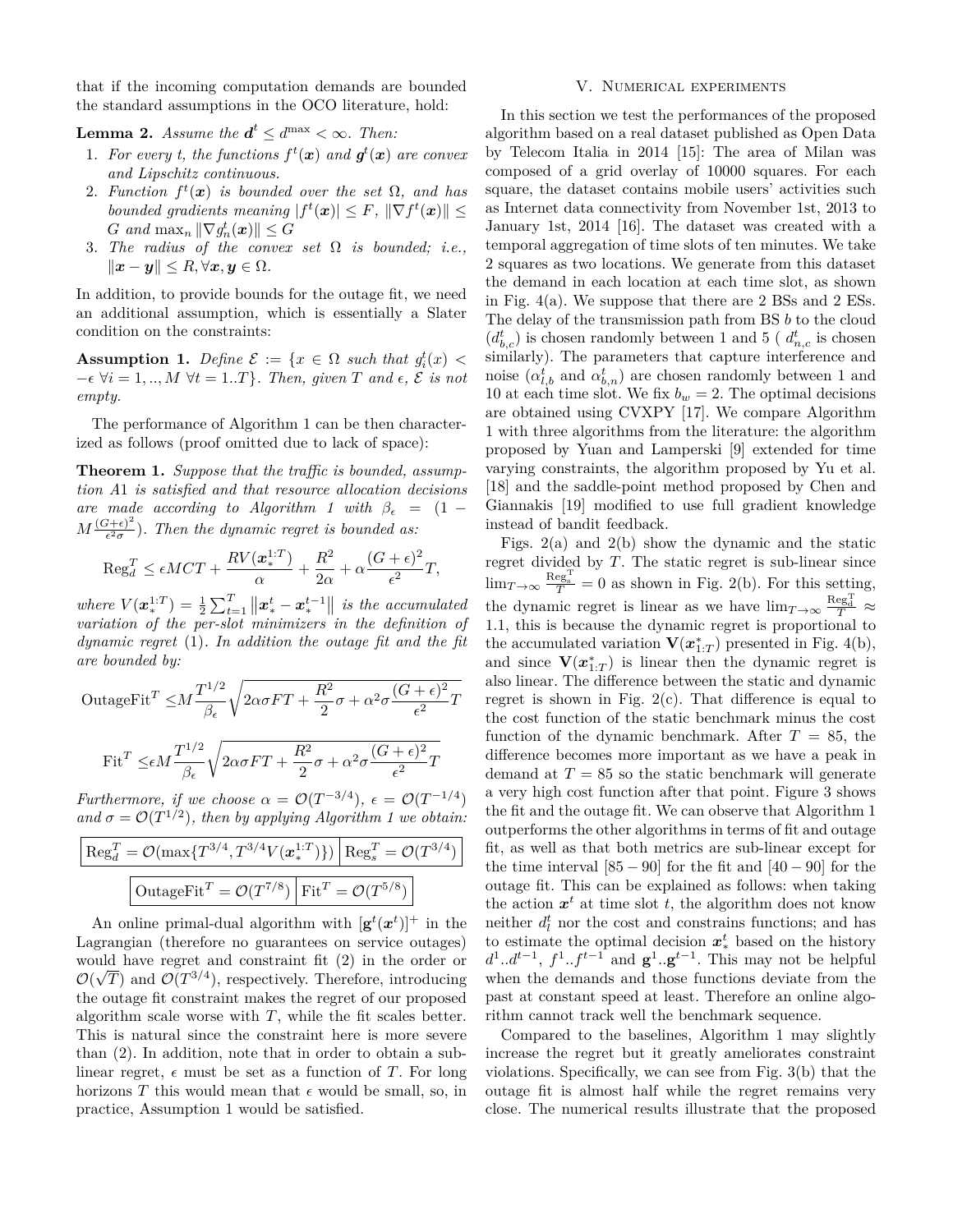that if the incoming computation demands are bounded the standard assumptions in the OCO literature, hold:

**Lemma 2.** *Assume the*  $d^t \leq d^{\max} < \infty$ *. Then:* 

- 1. For every t, the functions  $f^t(x)$  and  $g^t(x)$  are convex *and Lipschitz continuous.*
- 2. *Function*  $f^t(x)$  *is bounded over the set*  $\Omega$ *, and has bounded gradients meaning*  $|f^t(\mathbf{x})| \leq F$ ,  $\|\nabla f^t(\mathbf{x})\| \leq$ *G* and  $\max_n ||\nabla g_n^t(\boldsymbol{x})|| \leq G$
- 3. *The radius of the convex set* Ω *is bounded; i.e.,*  $\|\boldsymbol{x} - \boldsymbol{y}\|$  ≤ *R*, ∀*x*, *y* ∈ Ω*.*

In addition, to provide bounds for the outage fit, we need an additional assumption, which is essentially a Slater condition on the constraints:

**Assumption 1.** *Define*  $\mathcal{E} := \{x \in \Omega \text{ such that } g_i^t(x) \leq$  $-\epsilon \ \forall i = 1, ..., M \ \forall t = 1..T$ *, Then, given T* and  $\epsilon$ ,  $\mathcal{E}$  *is not empty.*

The performance of Algorithm 1 can be then characterized as follows (proof omitted due to lack of space):

**Theorem 1.** *Suppose that the traffic is bounded, assumption A*1 *is satisfied and that resource allocation decisions are made according to Algorithm 1 with*  $\beta_{\epsilon} = (1 M\frac{(G+\epsilon)^2}{\epsilon^2\sigma}$  $\frac{d^2+\epsilon^2}{\epsilon^2\sigma}$ ). Then the dynamic regret is bounded as:

$$
\operatorname{Reg}_{d}^{T} \le \epsilon MCT + \frac{RV(\boldsymbol{x}_{*}^{1:T})}{\alpha} + \frac{R^{2}}{2\alpha} + \alpha \frac{(G+\epsilon)^{2}}{\epsilon^{2}}T,
$$

*where*  $V(x^{1:T}) = \frac{1}{2} \sum_{t=1}^{T} ||x^t_* - x^{t-1}_*||$  *is the accumulated variation of the per-slot minimizers in the definition of dynamic regret* (1)*. In addition the outage fit and the fit are bounded by:*

OutageFit<sup>T</sup> 
$$
\leq M \frac{T^{1/2}}{\beta_{\epsilon}} \sqrt{2\alpha \sigma FT + \frac{R^2}{2}\sigma + \alpha^2 \sigma \frac{(G+\epsilon)^2}{\epsilon^2}T}
$$
  
Fit<sup>T</sup>  $\leq \epsilon M \frac{T^{1/2}}{\beta_{\epsilon}} \sqrt{2\alpha \sigma FT + \frac{R^2}{2}\sigma + \alpha^2 \sigma \frac{(G+\epsilon)^2}{\epsilon^2}T}$ 

*Furthermore, if we choose*  $\alpha = \mathcal{O}(T^{-3/4})$ ,  $\epsilon = \mathcal{O}(T^{-1/4})$ and  $\sigma = \mathcal{O}(T^{1/2})$ , then by applying Algorithm 1 we obtain:

$$
\frac{\left| \text{Reg}_d^T = \mathcal{O}(\max\{T^{3/4}, T^{3/4}V(\boldsymbol{x}_*^{1:T})\}) \right| \text{Reg}_s^T = \mathcal{O}(T^{3/4})}{\left| \text{OutageFit}^T = \mathcal{O}(T^{7/8}) \right| \text{Fit}^T = \mathcal{O}(T^{5/8})}
$$

An online primal-dual algorithm with  $[\mathbf{g}^t(\boldsymbol{x}^t)]^+$  in the Lagrangian (therefore no guarantees on service outages) would have regret and constraint fit  $(2)$  in the order or  $\mathcal{O}(\sqrt{T})$  and  $\mathcal{O}(T^{3/4})$ , respectively. Therefore, introducing the outage fit constraint makes the regret of our proposed algorithm scale worse with  $T$ , while the fit scales better. This is natural since the constraint here is more severe than (2). In addition, note that in order to obtain a sublinear regret,  $\epsilon$  must be set as a function of *T*. For long horizons *T* this would mean that  $\epsilon$  would be small, so, in practice, Assumption 1 would be satisfied.

### V. Numerical experiments

In this section we test the performances of the proposed algorithm based on a real dataset published as Open Data by Telecom Italia in 2014 [15]: The area of Milan was composed of a grid overlay of 10000 squares. For each square, the dataset contains mobile users' activities such as Internet data connectivity from November 1st, 2013 to January 1st, 2014 [16]. The dataset was created with a temporal aggregation of time slots of ten minutes. We take 2 squares as two locations. We generate from this dataset the demand in each location at each time slot, as shown in Fig.  $4(a)$ . We suppose that there are 2 BSs and 2 ESs. The delay of the transmission path from BS *b* to the cloud  $(d_{b,c}^t)$  is chosen randomly between 1 and 5 ( $d_{n,c}^t$  is chosen similarly). The parameters that capture interference and noise  $(\alpha_{l,b}^t$  and  $\alpha_{b,n}^t)$  are chosen randomly between 1 and 10 at each time slot. We fix  $b_w = 2$ . The optimal decisions are obtained using CVXPY [17]. We compare Algorithm 1 with three algorithms from the literature: the algorithm proposed by Yuan and Lamperski [9] extended for time varying constraints, the algorithm proposed by Yu et al. [18] and the saddle-point method proposed by Chen and Giannakis [19] modified to use full gradient knowledge instead of bandit feedback.

Figs. 2(a) and 2(b) show the dynamic and the static regret divided by *T*. The static regret is sub-linear since  $\lim_{T \to \infty} \frac{\text{Reg}^T}{T} = 0$  as shown in Fig. 2(b). For this setting, the dynamic regret is linear as we have  $\lim_{T \to \infty} \frac{\text{Reg}_{d}^{T}}{T} \approx$ 1*.*1, this is because the dynamic regret is proportional to the accumulated variation  $\mathbf{V}(\boldsymbol{x}_{1:T}^*)$  presented in Fig. 4(b), and since  $\mathbf{V}(\boldsymbol{x}_{1:T}^*)$  is linear then the dynamic regret is also linear. The difference between the static and dynamic regret is shown in Fig.  $2(c)$ . That difference is equal to the cost function of the static benchmark minus the cost function of the dynamic benchmark. After  $T = 85$ , the difference becomes more important as we have a peak in demand at  $T = 85$  so the static benchmark will generate a very high cost function after that point. Figure 3 shows the fit and the outage fit. We can observe that Algorithm 1 outperforms the other algorithms in terms of fit and outage fit, as well as that both metrics are sub-linear except for the time interval  $[85 - 90]$  for the fit and  $[40 - 90]$  for the outage fit. This can be explained as follows: when taking the action  $x^t$  at time slot  $t$ , the algorithm does not know neither  $d_l^t$  nor the cost and constrains functions; and has to estimate the optimal decision  $x^t_*$  based on the history  $d^1 \ldots d^{t-1}$ ,  $f^1 \ldots f^{t-1}$  and  $\mathbf{g}^1 \ldots \mathbf{g}^{t-1}$ . This may not be helpful when the demands and those functions deviate from the past at constant speed at least. Therefore an online algorithm cannot track well the benchmark sequence.

Compared to the baselines, Algorithm 1 may slightly increase the regret but it greatly ameliorates constraint violations. Specifically, we can see from Fig. 3(b) that the outage fit is almost half while the regret remains very close. The numerical results illustrate that the proposed